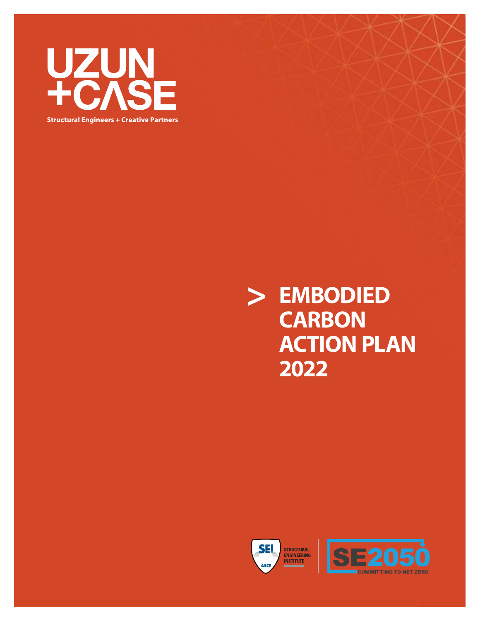

**Structural Engineers + Creative Partners**

**> EMBODIED CARBON ACTION PLAN 2022**



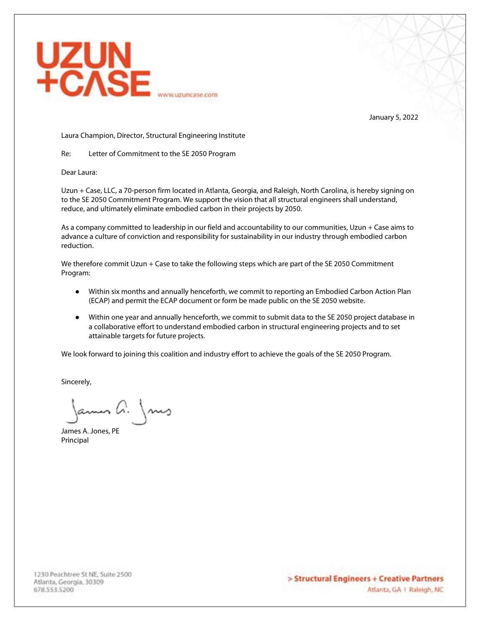

January 5, 2022

Laura Champion, Director, Structural Engineering Institute

Re: Letter of Commitment to the SE 2050 Program

Dear Laura:

Uzun + Case, LLC, a 70-person firm located in Atlanta, Georgia, and Raleigh, North Carolina, is hereby signing on to the SE 2050 Commitment Program. We support the vision that all structural engineers shall understand, reduce, and ultimately eliminate embodied carbon in their projects by 2050.

As a company committed to leadership in our field and accountability to our communities, Uzun + Case aims to advance a culture of conviction and responsibility for sustainability in our industry through embodied carbon reduction.

We therefore commit Uzun + Case to take the following steps which are part of the SE 2050 Commitment Program:

- Within six months and annually henceforth, we commit to reporting an Embodied Carbon Action Plan (ECAP) and permit the ECAP document or form be made public on the SE 2050 website.
- Within one year and annually henceforth, we commit to submit data to the SE 2050 project database in a collaborative effort to understand embodied carbon in structural engineering projects and to set attainable targets for future projects.

We look forward to joining this coalition and industry effort to achieve the goals of the SE 2050 Program.

Sincerely,

Jamen A. Jours

James A. Jones, PE Principal

1230 Peachtree St NE, Suite 2500 Atlanta, Georgia, 30309 678.553.5200

> Structural Engineers + Creative Partners Atlanta, GA | Raleigh, NC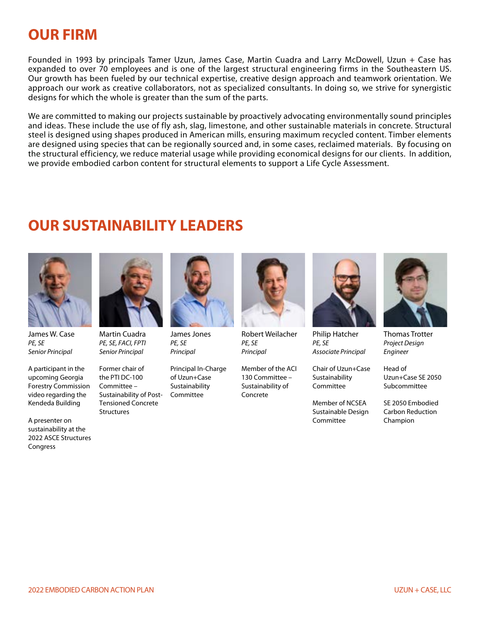# **OUR FIRM**

Founded in 1993 by principals Tamer Uzun, James Case, Martin Cuadra and Larry McDowell, Uzun + Case has expanded to over 70 employees and is one of the largest structural engineering firms in the Southeastern US. Our growth has been fueled by our technical expertise, creative design approach and teamwork orientation. We approach our work as creative collaborators, not as specialized consultants. In doing so, we strive for synergistic designs for which the whole is greater than the sum of the parts.

We are committed to making our projects sustainable by proactively advocating environmentally sound principles and ideas. These include the use of fly ash, slag, limestone, and other sustainable materials in concrete. Structural steel is designed using shapes produced in American mills, ensuring maximum recycled content. Timber elements are designed using species that can be regionally sourced and, in some cases, reclaimed materials. By focusing on the structural efficiency, we reduce material usage while providing economical designs for our clients. In addition, we provide embodied carbon content for structural elements to support a Life Cycle Assessment.

# **OUR SUSTAINABILITY LEADERS**



James W. Case PE, SE Senior Principal

A participant in the upcoming Georgia Forestry Commission video regarding the Kendeda Building

A presenter on sustainability at the 2022 ASCE Structures Congress



Martin Cuadra PE, SE, FACI, FPTI Senior Principal

Former chair of the PTI DC-100 Committee – Sustainability of Post-Tensioned Concrete **Structures** 



James Jones PE, SE Principal

Principal In-Charge of Uzun+Case Sustainability Committee



Robert Weilacher PE, SE **Principal** 

Member of the ACI 130 Committee – Sustainability of Concrete



Philip Hatcher PE, SE Associate Principal

Chair of Uzun+Case Sustainability Committee

Member of NCSEA Sustainable Design Committee



Thomas Trotter Project Design Engineer

Head of Uzun+Case SE 2050 Subcommittee

SE 2050 Embodied Carbon Reduction Champion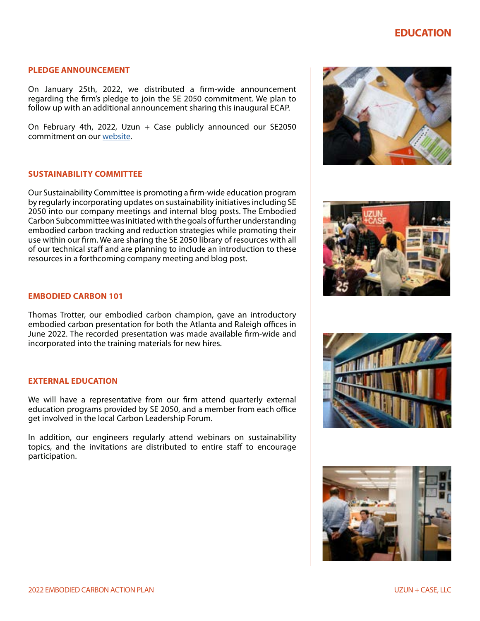# **EDUCATION**

## **PLEDGE ANNOUNCEMENT**

On January 25th, 2022, we distributed a firm-wide announcement regarding the firm's pledge to join the SE 2050 commitment. We plan to follow up with an additional announcement sharing this inaugural ECAP.

On February 4th, 2022, Uzun  $+$  Case publicly announced our SE2050 commitment on our [website](https://uzuncase.com/stories/uzun-case-joins-se-2050-commitment/).

## **SUSTAINABILITY COMMITTEE**

Our Sustainability Committee is promoting a firm-wide education program by regularly incorporating updates on sustainability initiatives including SE 2050 into our company meetings and internal blog posts. The Embodied Carbon Subcommittee was initiated with the goals of further understanding embodied carbon tracking and reduction strategies while promoting their use within our firm. We are sharing the SE 2050 library of resources with all of our technical staff and are planning to include an introduction to these resources in a forthcoming company meeting and blog post.

#### **EMBODIED CARBON 101**

Thomas Trotter, our embodied carbon champion, gave an introductory embodied carbon presentation for both the Atlanta and Raleigh offices in June 2022. The recorded presentation was made available firm-wide and incorporated into the training materials for new hires.

## **EXTERNAL EDUCATION**

We will have a representative from our firm attend quarterly external education programs provided by SE 2050, and a member from each office get involved in the local Carbon Leadership Forum.

In addition, our engineers regularly attend webinars on sustainability topics, and the invitations are distributed to entire staff to encourage participation.







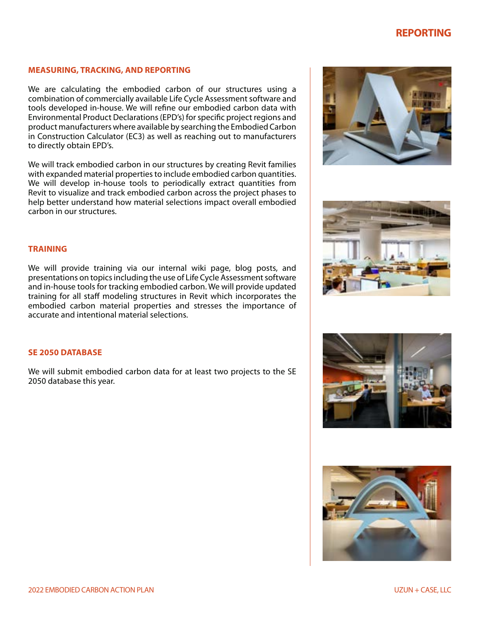# **REPORTING**

#### **MEASURING, TRACKING, AND REPORTING**

We are calculating the embodied carbon of our structures using a combination of commercially available Life Cycle Assessment software and tools developed in-house. We will refine our embodied carbon data with Environmental Product Declarations (EPD's) for specific project regions and product manufacturers where available by searching the Embodied Carbon in Construction Calculator (EC3) as well as reaching out to manufacturers to directly obtain EPD's.

We will track embodied carbon in our structures by creating Revit families with expanded material properties to include embodied carbon quantities. We will develop in-house tools to periodically extract quantities from Revit to visualize and track embodied carbon across the project phases to help better understand how material selections impact overall embodied carbon in our structures.





#### **TRAINING**

We will provide training via our internal wiki page, blog posts, and presentations on topics including the use of Life Cycle Assessment software and in-house tools for tracking embodied carbon. We will provide updated training for all staff modeling structures in Revit which incorporates the embodied carbon material properties and stresses the importance of accurate and intentional material selections.

# **SE 2050 DATABASE**

We will submit embodied carbon data for at least two projects to the SE 2050 database this year.



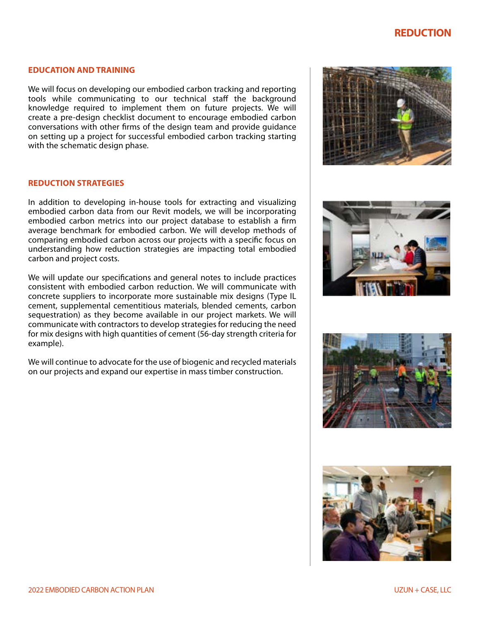# **REDUCTION**

#### **EDUCATION AND TRAINING**

We will focus on developing our embodied carbon tracking and reporting tools while communicating to our technical staff the background knowledge required to implement them on future projects. We will create a pre-design checklist document to encourage embodied carbon conversations with other firms of the design team and provide guidance on setting up a project for successful embodied carbon tracking starting with the schematic design phase.

# **REDUCTION STRATEGIES**

In addition to developing in-house tools for extracting and visualizing embodied carbon data from our Revit models, we will be incorporating embodied carbon metrics into our project database to establish a firm average benchmark for embodied carbon. We will develop methods of comparing embodied carbon across our projects with a specific focus on understanding how reduction strategies are impacting total embodied carbon and project costs.

We will update our specifications and general notes to include practices consistent with embodied carbon reduction. We will communicate with concrete suppliers to incorporate more sustainable mix designs (Type IL cement, supplemental cementitious materials, blended cements, carbon sequestration) as they become available in our project markets. We will communicate with contractors to develop strategies for reducing the need for mix designs with high quantities of cement (56-day strength criteria for example).

We will continue to advocate for the use of biogenic and recycled materials on our projects and expand our expertise in mass timber construction.